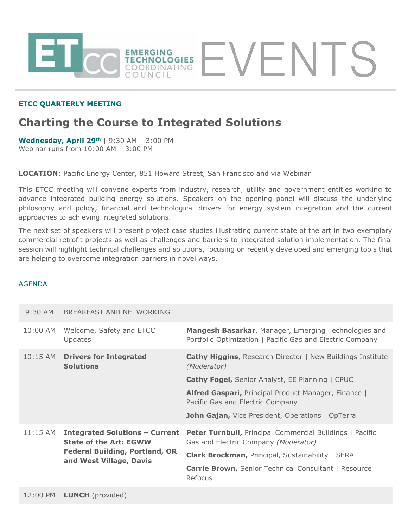

### **ETCC QUARTERLY MEETING**

# **Charting the Course to Integrated Solutions**

**Wednesday, April 29th** | 9:30 AM – 3:00 PM Webinar runs from 10:00 AM – 3:00 PM

**LOCATION**: Pacific Energy Center, 851 Howard Street, San Francisco and via Webinar

This ETCC meeting will convene experts from industry, research, utility and government entities working to advance integrated building energy solutions. Speakers on the opening panel will discuss the underlying philosophy and policy, financial and technological drivers for energy system integration and the current approaches to achieving integrated solutions.

The next set of speakers will present project case studies illustrating current state of the art in two exemplary commercial retrofit projects as well as challenges and barriers to integrated solution implementation. The final session will highlight technical challenges and solutions, focusing on recently developed and emerging tools that are helping to overcome integration barriers in novel ways.

#### AGENDA

| $9:30$ AM  | BREAKFAST AND NETWORKING                                               |                                                                                                                   |
|------------|------------------------------------------------------------------------|-------------------------------------------------------------------------------------------------------------------|
| 10:00 AM   | Welcome, Safety and ETCC<br>Updates                                    | Mangesh Basarkar, Manager, Emerging Technologies and<br>Portfolio Optimization   Pacific Gas and Electric Company |
| $10:15$ AM | <b>Drivers for Integrated</b><br><b>Solutions</b>                      | <b>Cathy Higgins, Research Director   New Buildings Institute</b><br>(Moderator)                                  |
|            |                                                                        | <b>Cathy Fogel, Senior Analyst, EE Planning   CPUC</b>                                                            |
|            |                                                                        | Alfred Gaspari, Principal Product Manager, Finance  <br>Pacific Gas and Electric Company                          |
|            |                                                                        | <b>John Gajan, Vice President, Operations   OpTerra</b>                                                           |
| $11:15$ AM | <b>Integrated Solutions - Current</b><br><b>State of the Art: EGWW</b> |                                                                                                                   |
|            |                                                                        | <b>Peter Turnbull, Principal Commercial Buildings   Pacific</b><br>Gas and Electric Company (Moderator)           |
|            | <b>Federal Building, Portland, OR</b>                                  | Clark Brockman, Principal, Sustainability   SERA                                                                  |
|            | and West Village, Davis                                                | <b>Carrie Brown, Senior Technical Consultant   Resource</b><br>Refocus                                            |